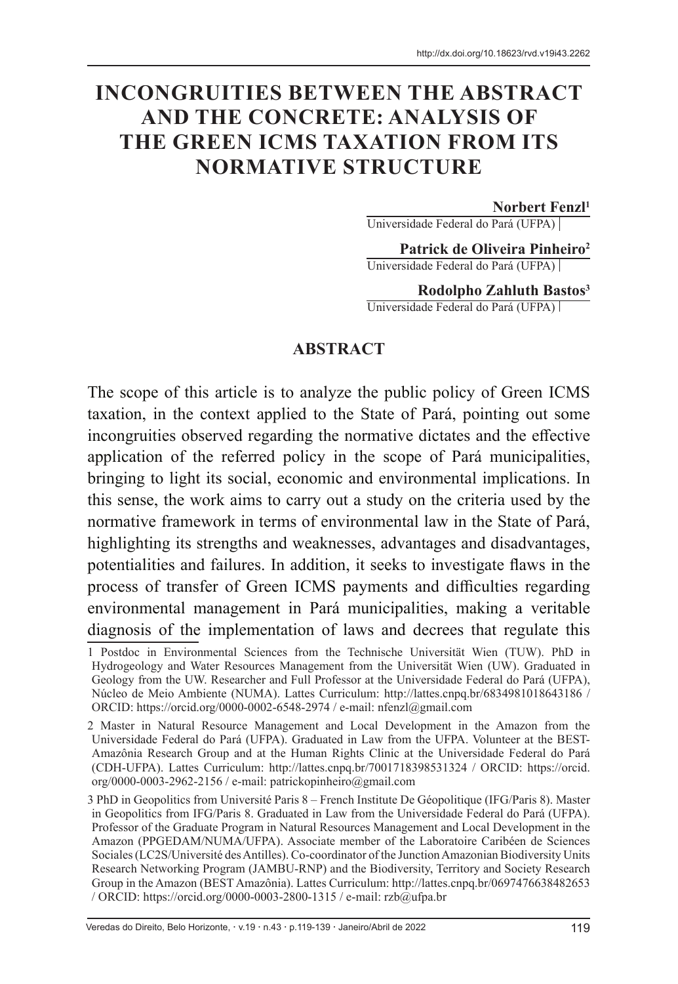# **INCONGRUITIES BETWEEN THE ABSTRACT AND THE CONCRETE: ANALYSIS OF THE GREEN ICMS TAXATION FROM ITS NORMATIVE STRUCTURE**

#### **Norbert Fenzl1**

Universidade Federal do Pará (UFPA)

**Patrick de Oliveira Pinheiro2** Universidade Federal do Pará (UFPA)

**Rodolpho Zahluth Bastos3** Universidade Federal do Pará (UFPA)

#### **ABSTRACT**

The scope of this article is to analyze the public policy of Green ICMS taxation, in the context applied to the State of Pará, pointing out some incongruities observed regarding the normative dictates and the effective application of the referred policy in the scope of Pará municipalities, bringing to light its social, economic and environmental implications. In this sense, the work aims to carry out a study on the criteria used by the normative framework in terms of environmental law in the State of Pará, highlighting its strengths and weaknesses, advantages and disadvantages, potentialities and failures. In addition, it seeks to investigate flaws in the process of transfer of Green ICMS payments and difficulties regarding environmental management in Pará municipalities, making a veritable diagnosis of the implementation of laws and decrees that regulate this

<sup>1</sup> Postdoc in Environmental Sciences from the Technische Universität Wien (TUW). PhD in Hydrogeology and Water Resources Management from the Universität Wien (UW). Graduated in Geology from the UW. Researcher and Full Professor at the Universidade Federal do Pará (UFPA), Núcleo de Meio Ambiente (NUMA). Lattes Curriculum: http://lattes.cnpq.br/6834981018643186 / ORCID: https://orcid.org/0000-0002-6548-2974 / e-mail: nfenzl@gmail.com

<sup>2</sup> Master in Natural Resource Management and Local Development in the Amazon from the Universidade Federal do Pará (UFPA). Graduated in Law from the UFPA. Volunteer at the BEST-Amazônia Research Group and at the Human Rights Clinic at the Universidade Federal do Pará (CDH-UFPA). Lattes Curriculum: http://lattes.cnpq.br/7001718398531324 / ORCID: https://orcid. org/0000-0003-2962-2156 / e-mail: patrickopinheiro@gmail.com

<sup>3</sup> PhD in Geopolitics from Université Paris 8 – French Institute De Géopolitique (IFG/Paris 8). Master in Geopolitics from IFG/Paris 8. Graduated in Law from the Universidade Federal do Pará (UFPA). Professor of the Graduate Program in Natural Resources Management and Local Development in the Amazon (PPGEDAM/NUMA/UFPA). Associate member of the Laboratoire Caribéen de Sciences Sociales (LC2S/Université des Antilles). Co-coordinator of the Junction Amazonian Biodiversity Units Research Networking Program (JAMBU-RNP) and the Biodiversity, Territory and Society Research Group in the Amazon (BEST Amazônia). Lattes Curriculum: http://lattes.cnpq.br/0697476638482653 / ORCID: https://orcid.org/0000-0003-2800-1315 / e-mail: rzb@ufpa.br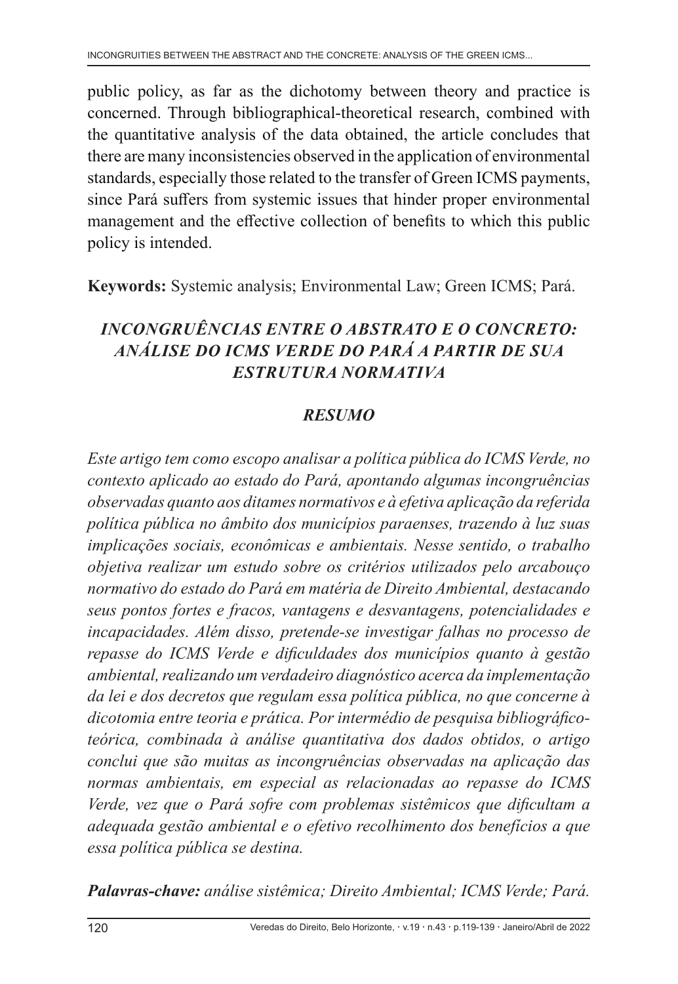public policy, as far as the dichotomy between theory and practice is concerned. Through bibliographical-theoretical research, combined with the quantitative analysis of the data obtained, the article concludes that there are many inconsistencies observed in the application of environmental standards, especially those related to the transfer of Green ICMS payments, since Pará suffers from systemic issues that hinder proper environmental management and the effective collection of benefits to which this public policy is intended.

**Keywords:** Systemic analysis; Environmental Law; Green ICMS; Pará.

# *INCONGRUÊNCIAS ENTRE O ABSTRATO E O CONCRETO: ANÁLISE DO ICMS VERDE DO PARÁ A PARTIR DE SUA ESTRUTURA NORMATIVA*

# *RESUMO*

*Este artigo tem como escopo analisar a política pública do ICMS Verde, no contexto aplicado ao estado do Pará, apontando algumas incongruências observadas quanto aos ditames normativos e à efetiva aplicação da referida política pública no âmbito dos municípios paraenses, trazendo à luz suas implicações sociais, econômicas e ambientais. Nesse sentido, o trabalho objetiva realizar um estudo sobre os critérios utilizados pelo arcabouço normativo do estado do Pará em matéria de Direito Ambiental, destacando seus pontos fortes e fracos, vantagens e desvantagens, potencialidades e incapacidades. Além disso, pretende-se investigar falhas no processo de repasse do ICMS Verde e dificuldades dos municípios quanto à gestão ambiental, realizando um verdadeiro diagnóstico acerca da implementação da lei e dos decretos que regulam essa política pública, no que concerne à dicotomia entre teoria e prática. Por intermédio de pesquisa bibliográficoteórica, combinada à análise quantitativa dos dados obtidos, o artigo conclui que são muitas as incongruências observadas na aplicação das normas ambientais, em especial as relacionadas ao repasse do ICMS Verde, vez que o Pará sofre com problemas sistêmicos que dificultam a adequada gestão ambiental e o efetivo recolhimento dos benefícios a que essa política pública se destina.*

*Palavras-chave: análise sistêmica; Direito Ambiental; ICMS Verde; Pará.*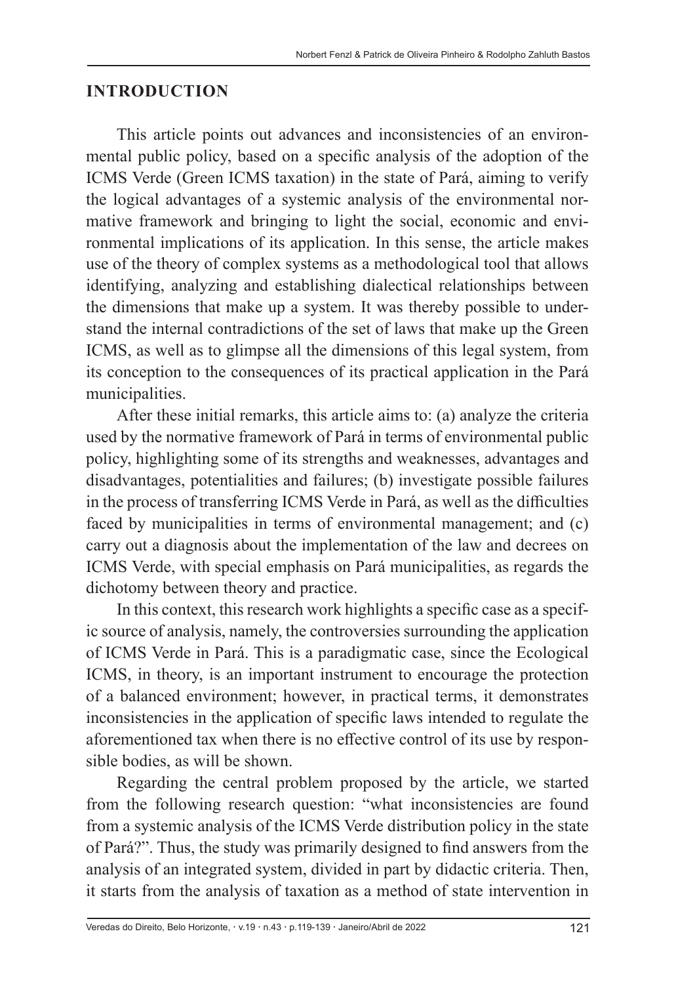#### **INTRODUCTION**

This article points out advances and inconsistencies of an environmental public policy, based on a specific analysis of the adoption of the ICMS Verde (Green ICMS taxation) in the state of Pará, aiming to verify the logical advantages of a systemic analysis of the environmental normative framework and bringing to light the social, economic and environmental implications of its application. In this sense, the article makes use of the theory of complex systems as a methodological tool that allows identifying, analyzing and establishing dialectical relationships between the dimensions that make up a system. It was thereby possible to understand the internal contradictions of the set of laws that make up the Green ICMS, as well as to glimpse all the dimensions of this legal system, from its conception to the consequences of its practical application in the Pará municipalities.

After these initial remarks, this article aims to: (a) analyze the criteria used by the normative framework of Pará in terms of environmental public policy, highlighting some of its strengths and weaknesses, advantages and disadvantages, potentialities and failures; (b) investigate possible failures in the process of transferring ICMS Verde in Pará, as well as the difficulties faced by municipalities in terms of environmental management; and (c) carry out a diagnosis about the implementation of the law and decrees on ICMS Verde, with special emphasis on Pará municipalities, as regards the dichotomy between theory and practice.

In this context, this research work highlights a specific case as a specific source of analysis, namely, the controversies surrounding the application of ICMS Verde in Pará. This is a paradigmatic case, since the Ecological ICMS, in theory, is an important instrument to encourage the protection of a balanced environment; however, in practical terms, it demonstrates inconsistencies in the application of specific laws intended to regulate the aforementioned tax when there is no effective control of its use by responsible bodies, as will be shown.

Regarding the central problem proposed by the article, we started from the following research question: "what inconsistencies are found from a systemic analysis of the ICMS Verde distribution policy in the state of Pará?". Thus, the study was primarily designed to find answers from the analysis of an integrated system, divided in part by didactic criteria. Then, it starts from the analysis of taxation as a method of state intervention in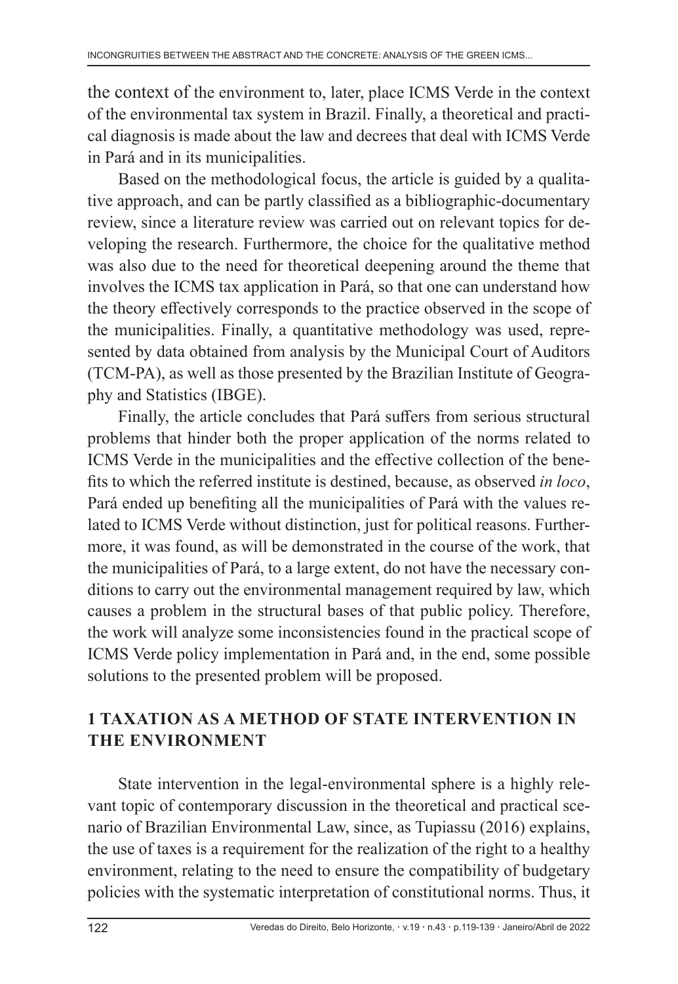the context of the environment to, later, place ICMS Verde in the context of the environmental tax system in Brazil. Finally, a theoretical and practical diagnosis is made about the law and decrees that deal with ICMS Verde in Pará and in its municipalities.

Based on the methodological focus, the article is guided by a qualitative approach, and can be partly classified as a bibliographic-documentary review, since a literature review was carried out on relevant topics for developing the research. Furthermore, the choice for the qualitative method was also due to the need for theoretical deepening around the theme that involves the ICMS tax application in Pará, so that one can understand how the theory effectively corresponds to the practice observed in the scope of the municipalities. Finally, a quantitative methodology was used, represented by data obtained from analysis by the Municipal Court of Auditors (TCM-PA), as well as those presented by the Brazilian Institute of Geography and Statistics (IBGE).

Finally, the article concludes that Pará suffers from serious structural problems that hinder both the proper application of the norms related to ICMS Verde in the municipalities and the effective collection of the benefits to which the referred institute is destined, because, as observed *in loco*, Pará ended up benefiting all the municipalities of Pará with the values related to ICMS Verde without distinction, just for political reasons. Furthermore, it was found, as will be demonstrated in the course of the work, that the municipalities of Pará, to a large extent, do not have the necessary conditions to carry out the environmental management required by law, which causes a problem in the structural bases of that public policy. Therefore, the work will analyze some inconsistencies found in the practical scope of ICMS Verde policy implementation in Pará and, in the end, some possible solutions to the presented problem will be proposed.

## **1 TAXATION AS A METHOD OF STATE INTERVENTION IN THE ENVIRONMENT**

State intervention in the legal-environmental sphere is a highly relevant topic of contemporary discussion in the theoretical and practical scenario of Brazilian Environmental Law, since, as Tupiassu (2016) explains, the use of taxes is a requirement for the realization of the right to a healthy environment, relating to the need to ensure the compatibility of budgetary policies with the systematic interpretation of constitutional norms. Thus, it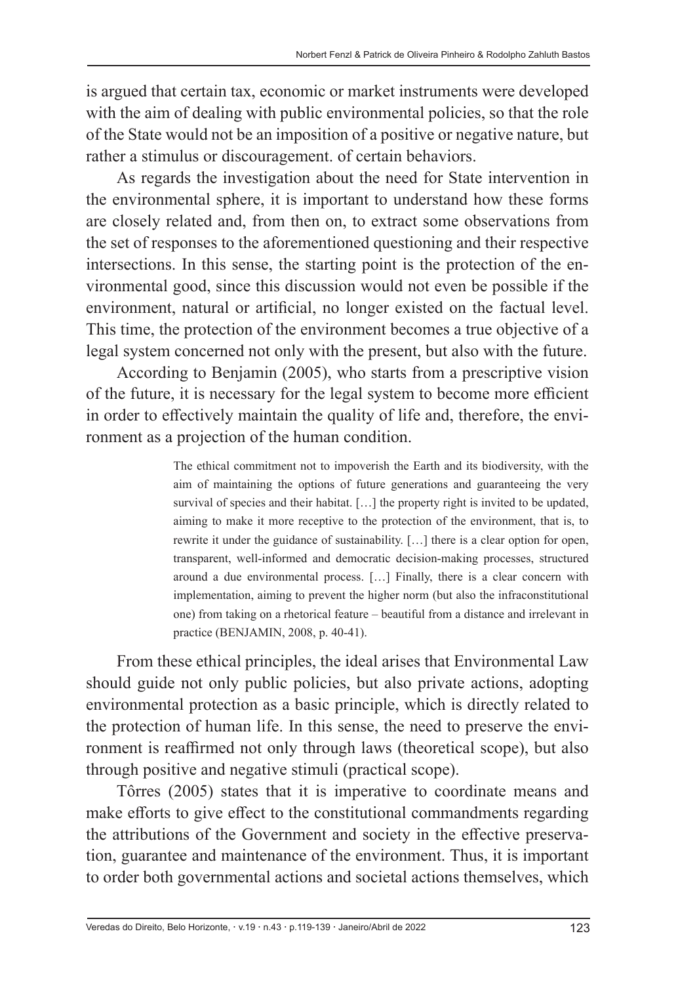is argued that certain tax, economic or market instruments were developed with the aim of dealing with public environmental policies, so that the role of the State would not be an imposition of a positive or negative nature, but rather a stimulus or discouragement. of certain behaviors.

As regards the investigation about the need for State intervention in the environmental sphere, it is important to understand how these forms are closely related and, from then on, to extract some observations from the set of responses to the aforementioned questioning and their respective intersections. In this sense, the starting point is the protection of the environmental good, since this discussion would not even be possible if the environment, natural or artificial, no longer existed on the factual level. This time, the protection of the environment becomes a true objective of a legal system concerned not only with the present, but also with the future.

According to Benjamin (2005), who starts from a prescriptive vision of the future, it is necessary for the legal system to become more efficient in order to effectively maintain the quality of life and, therefore, the environment as a projection of the human condition.

> The ethical commitment not to impoverish the Earth and its biodiversity, with the aim of maintaining the options of future generations and guaranteeing the very survival of species and their habitat. [...] the property right is invited to be updated, aiming to make it more receptive to the protection of the environment, that is, to rewrite it under the guidance of sustainability. […] there is a clear option for open, transparent, well-informed and democratic decision-making processes, structured around a due environmental process. […] Finally, there is a clear concern with implementation, aiming to prevent the higher norm (but also the infraconstitutional one) from taking on a rhetorical feature – beautiful from a distance and irrelevant in practice (BENJAMIN, 2008, p. 40-41).

From these ethical principles, the ideal arises that Environmental Law should guide not only public policies, but also private actions, adopting environmental protection as a basic principle, which is directly related to the protection of human life. In this sense, the need to preserve the environment is reaffirmed not only through laws (theoretical scope), but also through positive and negative stimuli (practical scope).

Tôrres (2005) states that it is imperative to coordinate means and make efforts to give effect to the constitutional commandments regarding the attributions of the Government and society in the effective preservation, guarantee and maintenance of the environment. Thus, it is important to order both governmental actions and societal actions themselves, which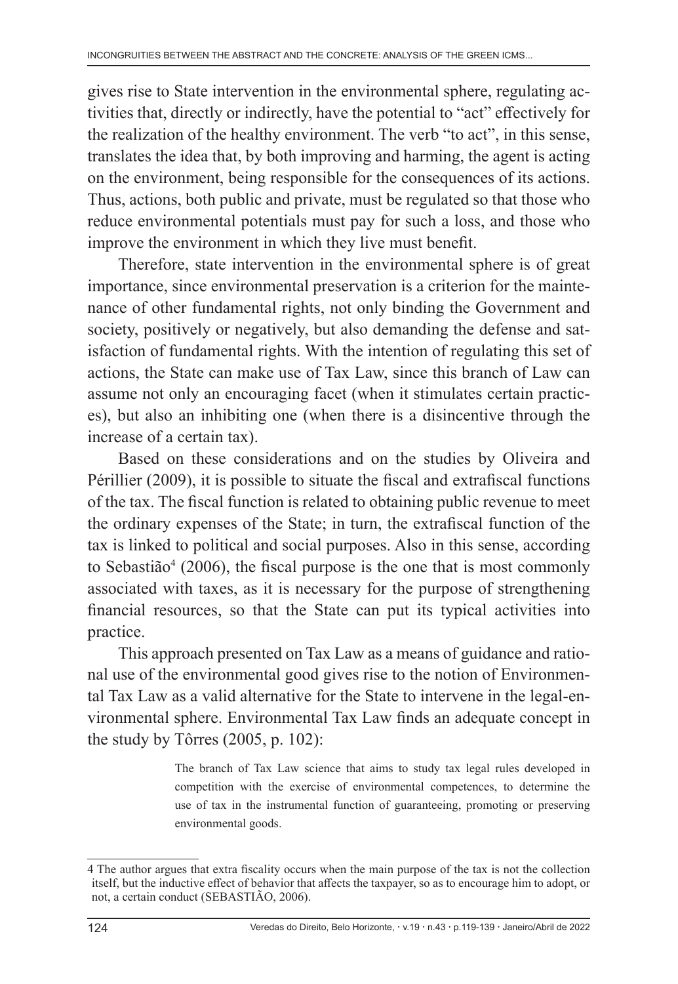gives rise to State intervention in the environmental sphere, regulating activities that, directly or indirectly, have the potential to "act" effectively for the realization of the healthy environment. The verb "to act", in this sense, translates the idea that, by both improving and harming, the agent is acting on the environment, being responsible for the consequences of its actions. Thus, actions, both public and private, must be regulated so that those who reduce environmental potentials must pay for such a loss, and those who improve the environment in which they live must benefit.

Therefore, state intervention in the environmental sphere is of great importance, since environmental preservation is a criterion for the maintenance of other fundamental rights, not only binding the Government and society, positively or negatively, but also demanding the defense and satisfaction of fundamental rights. With the intention of regulating this set of actions, the State can make use of Tax Law, since this branch of Law can assume not only an encouraging facet (when it stimulates certain practices), but also an inhibiting one (when there is a disincentive through the increase of a certain tax).

Based on these considerations and on the studies by Oliveira and Périllier (2009), it is possible to situate the fiscal and extrafiscal functions of the tax. The fiscal function is related to obtaining public revenue to meet the ordinary expenses of the State; in turn, the extrafiscal function of the tax is linked to political and social purposes. Also in this sense, according to Sebastião<sup>4</sup> (2006), the fiscal purpose is the one that is most commonly associated with taxes, as it is necessary for the purpose of strengthening financial resources, so that the State can put its typical activities into practice.

This approach presented on Tax Law as a means of guidance and rational use of the environmental good gives rise to the notion of Environmental Tax Law as a valid alternative for the State to intervene in the legal-environmental sphere. Environmental Tax Law finds an adequate concept in the study by Tôrres (2005, p. 102):

> The branch of Tax Law science that aims to study tax legal rules developed in competition with the exercise of environmental competences, to determine the use of tax in the instrumental function of guaranteeing, promoting or preserving environmental goods.

<sup>4</sup> The author argues that extra fiscality occurs when the main purpose of the tax is not the collection itself, but the inductive effect of behavior that affects the taxpayer, so as to encourage him to adopt, or not, a certain conduct (SEBASTIÃO, 2006).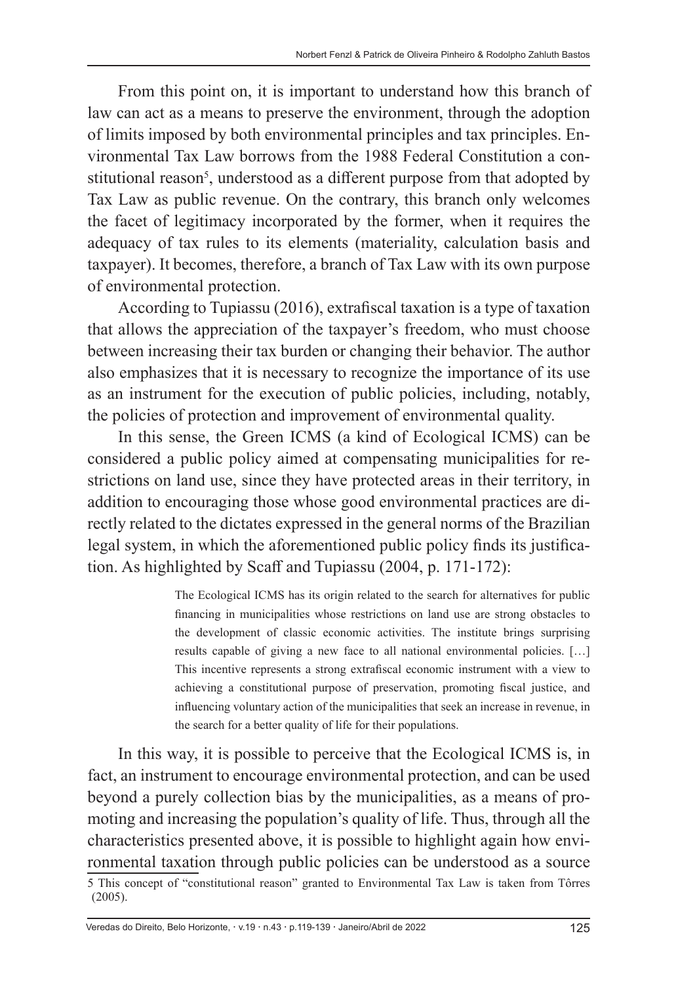From this point on, it is important to understand how this branch of law can act as a means to preserve the environment, through the adoption of limits imposed by both environmental principles and tax principles. Environmental Tax Law borrows from the 1988 Federal Constitution a constitutional reason<sup>5</sup>, understood as a different purpose from that adopted by Tax Law as public revenue. On the contrary, this branch only welcomes the facet of legitimacy incorporated by the former, when it requires the adequacy of tax rules to its elements (materiality, calculation basis and taxpayer). It becomes, therefore, a branch of Tax Law with its own purpose of environmental protection.

According to Tupiassu (2016), extrafiscal taxation is a type of taxation that allows the appreciation of the taxpayer's freedom, who must choose between increasing their tax burden or changing their behavior. The author also emphasizes that it is necessary to recognize the importance of its use as an instrument for the execution of public policies, including, notably, the policies of protection and improvement of environmental quality.

In this sense, the Green ICMS (a kind of Ecological ICMS) can be considered a public policy aimed at compensating municipalities for restrictions on land use, since they have protected areas in their territory, in addition to encouraging those whose good environmental practices are directly related to the dictates expressed in the general norms of the Brazilian legal system, in which the aforementioned public policy finds its justification. As highlighted by Scaff and Tupiassu (2004, p. 171-172):

> The Ecological ICMS has its origin related to the search for alternatives for public financing in municipalities whose restrictions on land use are strong obstacles to the development of classic economic activities. The institute brings surprising results capable of giving a new face to all national environmental policies. […] This incentive represents a strong extrafiscal economic instrument with a view to achieving a constitutional purpose of preservation, promoting fiscal justice, and influencing voluntary action of the municipalities that seek an increase in revenue, in the search for a better quality of life for their populations.

In this way, it is possible to perceive that the Ecological ICMS is, in fact, an instrument to encourage environmental protection, and can be used beyond a purely collection bias by the municipalities, as a means of promoting and increasing the population's quality of life. Thus, through all the characteristics presented above, it is possible to highlight again how environmental taxation through public policies can be understood as a source 5 This concept of "constitutional reason" granted to Environmental Tax Law is taken from Tôrres (2005).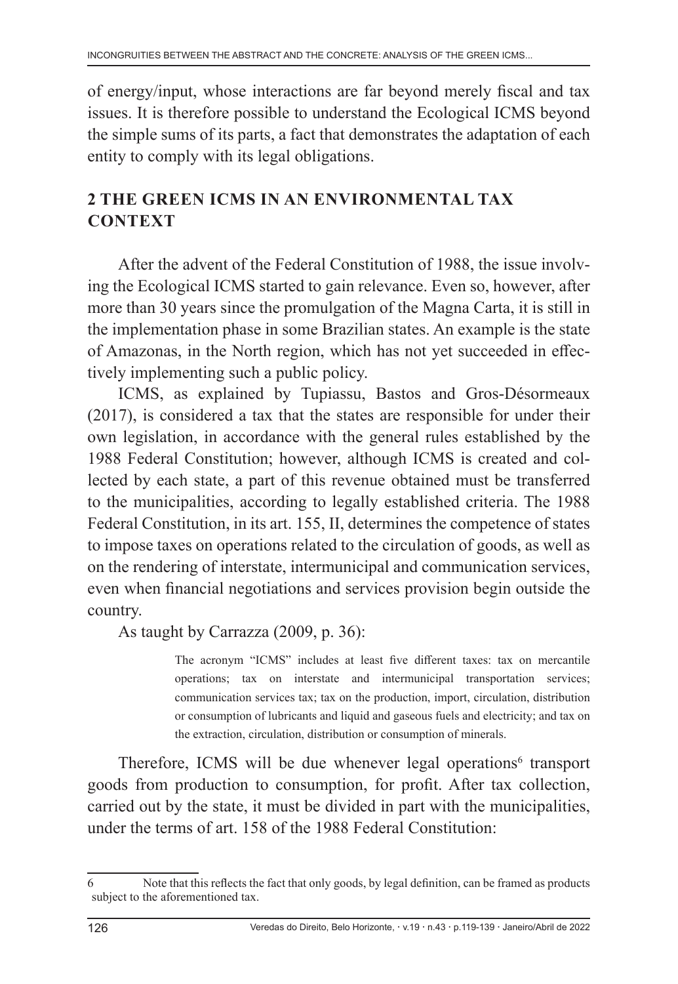of energy/input, whose interactions are far beyond merely fiscal and tax issues. It is therefore possible to understand the Ecological ICMS beyond the simple sums of its parts, a fact that demonstrates the adaptation of each entity to comply with its legal obligations.

# **2 THE GREEN ICMS IN AN ENVIRONMENTAL TAX CONTEXT**

After the advent of the Federal Constitution of 1988, the issue involving the Ecological ICMS started to gain relevance. Even so, however, after more than 30 years since the promulgation of the Magna Carta, it is still in the implementation phase in some Brazilian states. An example is the state of Amazonas, in the North region, which has not yet succeeded in effectively implementing such a public policy.

ICMS, as explained by Tupiassu, Bastos and Gros-Désormeaux (2017), is considered a tax that the states are responsible for under their own legislation, in accordance with the general rules established by the 1988 Federal Constitution; however, although ICMS is created and collected by each state, a part of this revenue obtained must be transferred to the municipalities, according to legally established criteria. The 1988 Federal Constitution, in its art. 155, II, determines the competence of states to impose taxes on operations related to the circulation of goods, as well as on the rendering of interstate, intermunicipal and communication services, even when financial negotiations and services provision begin outside the country.

As taught by Carrazza (2009, p. 36):

The acronym "ICMS" includes at least five different taxes: tax on mercantile operations; tax on interstate and intermunicipal transportation services; communication services tax; tax on the production, import, circulation, distribution or consumption of lubricants and liquid and gaseous fuels and electricity; and tax on the extraction, circulation, distribution or consumption of minerals.

Therefore, ICMS will be due whenever legal operations<sup>6</sup> transport goods from production to consumption, for profit. After tax collection, carried out by the state, it must be divided in part with the municipalities, under the terms of art. 158 of the 1988 Federal Constitution:

<sup>6</sup> Note that this reflects the fact that only goods, by legal definition, can be framed as products subject to the aforementioned tax.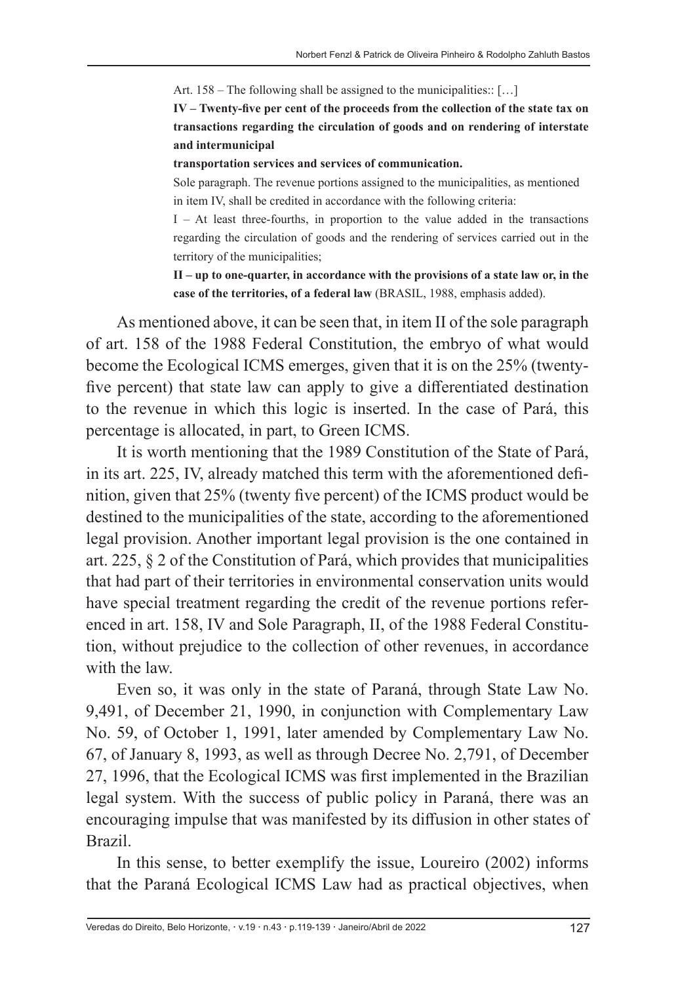Art. 158 – The following shall be assigned to the municipalities:: […]

**IV – Twenty‑five per cent of the proceeds from the collection of the state tax on transactions regarding the circulation of goods and on rendering of interstate and intermunicipal**

#### **transportation services and services of communication.**

Sole paragraph. The revenue portions assigned to the municipalities, as mentioned in item IV, shall be credited in accordance with the following criteria:

I – At least three-fourths, in proportion to the value added in the transactions regarding the circulation of goods and the rendering of services carried out in the territory of the municipalities;

**II – up to one‑quarter, in accordance with the provisions of a state law or, in the case of the territories, of a federal law** (BRASIL, 1988, emphasis added).

As mentioned above, it can be seen that, in item II of the sole paragraph of art. 158 of the 1988 Federal Constitution, the embryo of what would become the Ecological ICMS emerges, given that it is on the 25% (twentyfive percent) that state law can apply to give a differentiated destination to the revenue in which this logic is inserted. In the case of Pará, this percentage is allocated, in part, to Green ICMS.

It is worth mentioning that the 1989 Constitution of the State of Pará, in its art. 225, IV, already matched this term with the aforementioned definition, given that 25% (twenty five percent) of the ICMS product would be destined to the municipalities of the state, according to the aforementioned legal provision. Another important legal provision is the one contained in art. 225, § 2 of the Constitution of Pará, which provides that municipalities that had part of their territories in environmental conservation units would have special treatment regarding the credit of the revenue portions referenced in art. 158, IV and Sole Paragraph, II, of the 1988 Federal Constitution, without prejudice to the collection of other revenues, in accordance with the law.

Even so, it was only in the state of Paraná, through State Law No. 9,491, of December 21, 1990, in conjunction with Complementary Law No. 59, of October 1, 1991, later amended by Complementary Law No. 67, of January 8, 1993, as well as through Decree No. 2,791, of December 27, 1996, that the Ecological ICMS was first implemented in the Brazilian legal system. With the success of public policy in Paraná, there was an encouraging impulse that was manifested by its diffusion in other states of Brazil.

In this sense, to better exemplify the issue, Loureiro (2002) informs that the Paraná Ecological ICMS Law had as practical objectives, when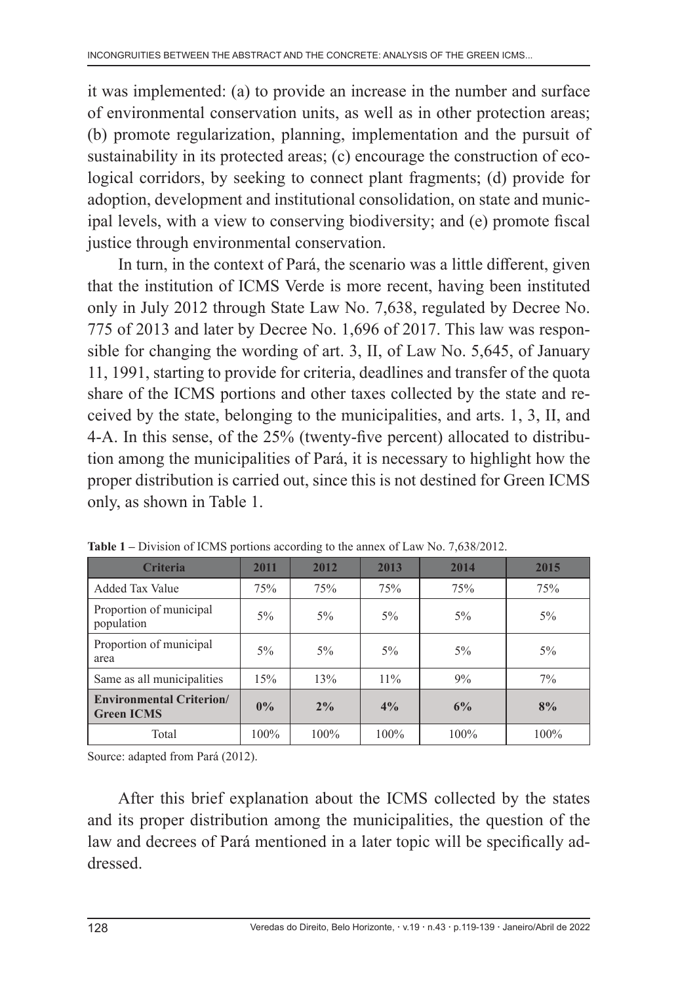it was implemented: (a) to provide an increase in the number and surface of environmental conservation units, as well as in other protection areas; (b) promote regularization, planning, implementation and the pursuit of sustainability in its protected areas; (c) encourage the construction of ecological corridors, by seeking to connect plant fragments; (d) provide for adoption, development and institutional consolidation, on state and municipal levels, with a view to conserving biodiversity; and (e) promote fiscal justice through environmental conservation.

In turn, in the context of Pará, the scenario was a little different, given that the institution of ICMS Verde is more recent, having been instituted only in July 2012 through State Law No. 7,638, regulated by Decree No. 775 of 2013 and later by Decree No. 1,696 of 2017. This law was responsible for changing the wording of art. 3, II, of Law No. 5,645, of January 11, 1991, starting to provide for criteria, deadlines and transfer of the quota share of the ICMS portions and other taxes collected by the state and received by the state, belonging to the municipalities, and arts. 1, 3, II, and 4-A. In this sense, of the 25% (twenty-five percent) allocated to distribution among the municipalities of Pará, it is necessary to highlight how the proper distribution is carried out, since this is not destined for Green ICMS only, as shown in Table 1.

| <b>Criteria</b>                                      | 2011  | 2012  | 2013    | 2014  | 2015  |
|------------------------------------------------------|-------|-------|---------|-------|-------|
| Added Tax Value                                      | 75%   | 75%   | 75%     | 75%   | 75%   |
| Proportion of municipal<br>population                | $5\%$ | $5\%$ | $5\%$   | $5\%$ | $5\%$ |
| Proportion of municipal<br>area                      | $5\%$ | $5\%$ | $5\%$   | $5\%$ | $5\%$ |
| Same as all municipalities                           | 15%   | 13%   | 11%     | 9%    | 7%    |
| <b>Environmental Criterion/</b><br><b>Green ICMS</b> | 0%    | $2\%$ | 4%      | 6%    | 8%    |
| Total                                                | 100%  | 100%  | $100\%$ | 100%  | 100%  |

**Table 1 –** Division of ICMS portions according to the annex of Law No. 7,638/2012.

Source: adapted from Pará (2012).

After this brief explanation about the ICMS collected by the states and its proper distribution among the municipalities, the question of the law and decrees of Pará mentioned in a later topic will be specifically addressed.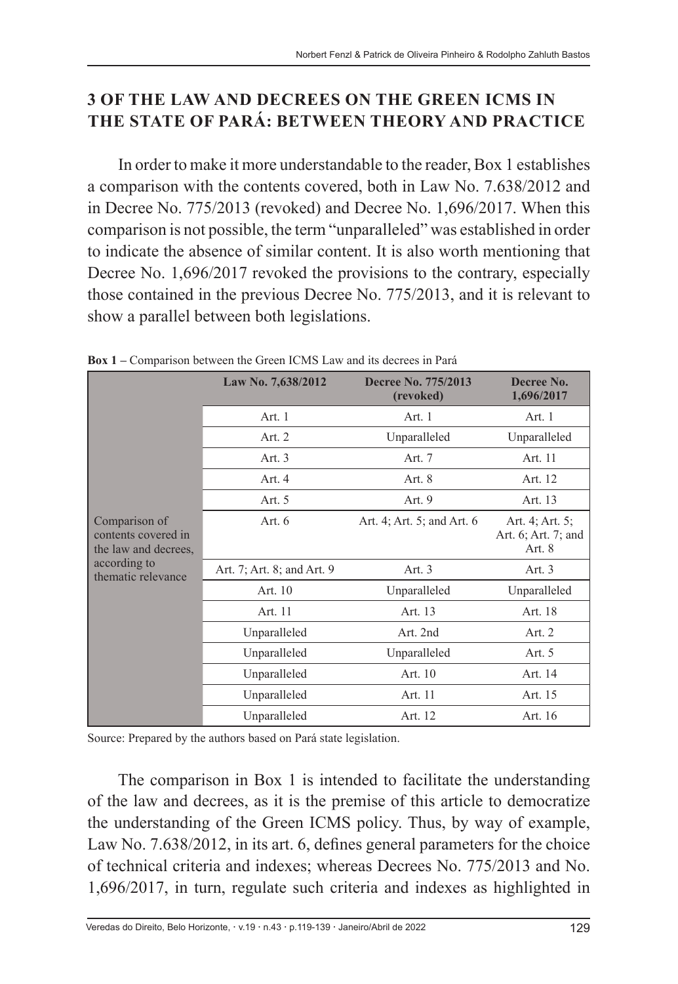### **3 OF THE LAW AND DECREES ON THE GREEN ICMS IN THE STATE OF PARÁ: BETWEEN THEORY AND PRACTICE**

In order to make it more understandable to the reader, Box 1 establishes a comparison with the contents covered, both in Law No. 7.638/2012 and in Decree No. 775/2013 (revoked) and Decree No. 1,696/2017. When this comparison is not possible, the term "unparalleled" was established in order to indicate the absence of similar content. It is also worth mentioning that Decree No. 1,696/2017 revoked the provisions to the contrary, especially those contained in the previous Decree No. 775/2013, and it is relevant to show a parallel between both legislations.

|                                                                                                    | Law No. 7,638/2012         | Decree No. 775/2013<br>(revoked) | Decree No.<br>1,696/2017                           |
|----------------------------------------------------------------------------------------------------|----------------------------|----------------------------------|----------------------------------------------------|
| Comparison of<br>contents covered in<br>the law and decrees,<br>according to<br>thematic relevance | Art. 1                     | Art. 1                           | Art. 1                                             |
|                                                                                                    | Art. 2                     | Unparalleled                     | Unparalleled                                       |
|                                                                                                    | Art. 3                     | Art. 7                           | Art. 11                                            |
|                                                                                                    | Art. 4                     | Art. 8                           | Art. 12                                            |
|                                                                                                    | Art. 5                     | Art. 9                           | Art. 13                                            |
|                                                                                                    | Art. 6                     | Art. 4; Art. 5; and Art. 6       | Art. 4; Art. 5;<br>Art. 6; Art. 7; and<br>Art. $8$ |
|                                                                                                    | Art. 7; Art. 8; and Art. 9 | Art. 3                           | Art. $3$                                           |
|                                                                                                    | Art. 10                    | Unparalleled                     | Unparalleled                                       |
|                                                                                                    | Art. 11                    | Art. 13                          | Art. 18                                            |
|                                                                                                    | Unparalleled               | Art. 2nd                         | Art. $2$                                           |
|                                                                                                    | Unparalleled               | Unparalleled                     | Art. 5                                             |
|                                                                                                    | Unparalleled               | Art. 10                          | Art. 14                                            |
|                                                                                                    | Unparalleled               | Art. 11                          | Art. 15                                            |
|                                                                                                    | Unparalleled               | Art. 12                          | Art. 16                                            |

**Box 1 –** Comparison between the Green ICMS Law and its decrees in Pará

Source: Prepared by the authors based on Pará state legislation.

The comparison in Box 1 is intended to facilitate the understanding of the law and decrees, as it is the premise of this article to democratize the understanding of the Green ICMS policy. Thus, by way of example, Law No. 7.638/2012, in its art. 6, defines general parameters for the choice of technical criteria and indexes; whereas Decrees No. 775/2013 and No. 1,696/2017, in turn, regulate such criteria and indexes as highlighted in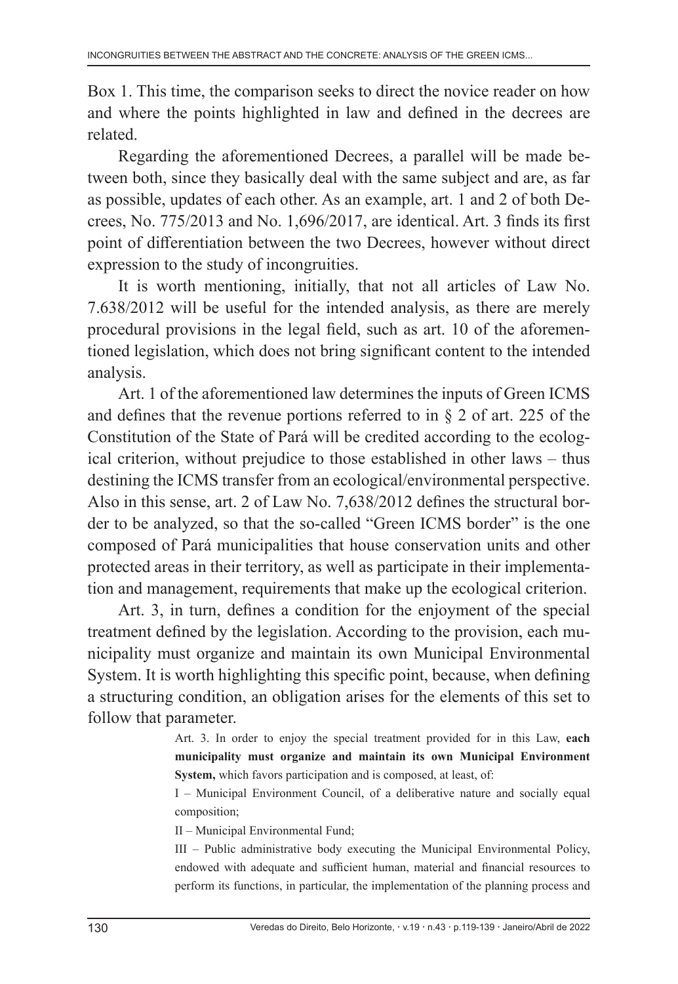Box 1. This time, the comparison seeks to direct the novice reader on how and where the points highlighted in law and defined in the decrees are related.

Regarding the aforementioned Decrees, a parallel will be made between both, since they basically deal with the same subject and are, as far as possible, updates of each other. As an example, art. 1 and 2 of both Decrees, No. 775/2013 and No. 1,696/2017, are identical. Art. 3 finds its first point of differentiation between the two Decrees, however without direct expression to the study of incongruities.

It is worth mentioning, initially, that not all articles of Law No. 7.638/2012 will be useful for the intended analysis, as there are merely procedural provisions in the legal field, such as art. 10 of the aforementioned legislation, which does not bring significant content to the intended analysis.

Art. 1 of the aforementioned law determines the inputs of Green ICMS and defines that the revenue portions referred to in § 2 of art. 225 of the Constitution of the State of Pará will be credited according to the ecological criterion, without prejudice to those established in other laws – thus destining the ICMS transfer from an ecological/environmental perspective. Also in this sense, art. 2 of Law No. 7,638/2012 defines the structural border to be analyzed, so that the so-called "Green ICMS border" is the one composed of Pará municipalities that house conservation units and other protected areas in their territory, as well as participate in their implementation and management, requirements that make up the ecological criterion.

Art. 3, in turn, defines a condition for the enjoyment of the special treatment defined by the legislation. According to the provision, each municipality must organize and maintain its own Municipal Environmental System. It is worth highlighting this specific point, because, when defining a structuring condition, an obligation arises for the elements of this set to follow that parameter.

> Art. 3. In order to enjoy the special treatment provided for in this Law, **each municipality must organize and maintain its own Municipal Environment System,** which favors participation and is composed, at least, of:

> I – Municipal Environment Council, of a deliberative nature and socially equal composition;

II – Municipal Environmental Fund;

III – Public administrative body executing the Municipal Environmental Policy, endowed with adequate and sufficient human, material and financial resources to perform its functions, in particular, the implementation of the planning process and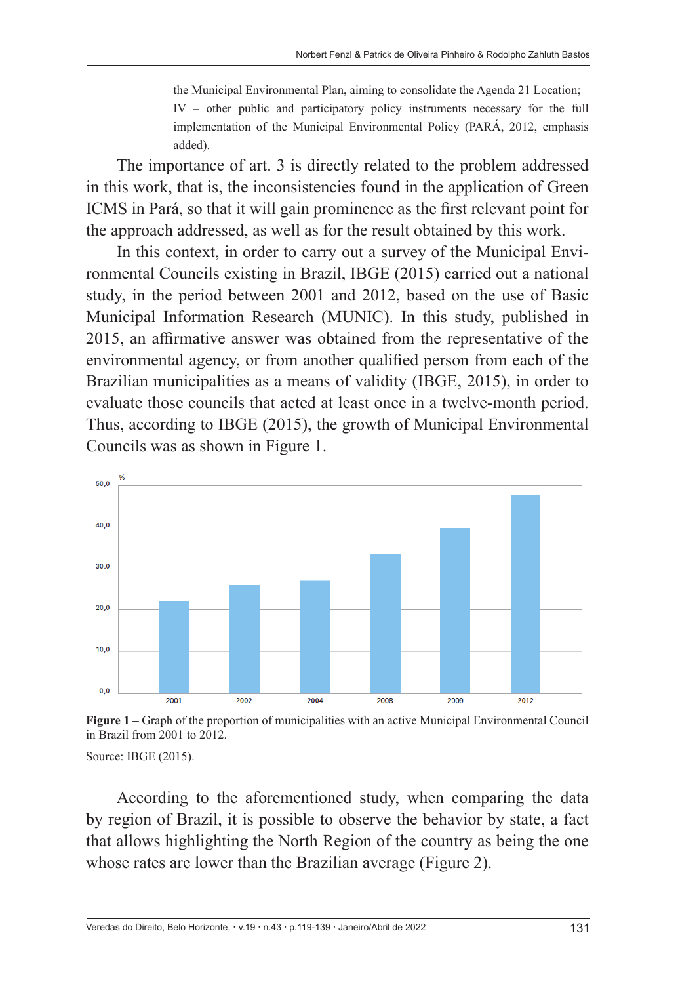the Municipal Environmental Plan, aiming to consolidate the Agenda 21 Location; IV – other public and participatory policy instruments necessary for the full implementation of the Municipal Environmental Policy (PARÁ, 2012, emphasis added).

The importance of art. 3 is directly related to the problem addressed in this work, that is, the inconsistencies found in the application of Green ICMS in Pará, so that it will gain prominence as the first relevant point for the approach addressed, as well as for the result obtained by this work.

In this context, in order to carry out a survey of the Municipal Environmental Councils existing in Brazil, IBGE (2015) carried out a national study, in the period between 2001 and 2012, based on the use of Basic Municipal Information Research (MUNIC). In this study, published in 2015, an affirmative answer was obtained from the representative of the environmental agency, or from another qualified person from each of the Brazilian municipalities as a means of validity (IBGE, 2015), in order to evaluate those councils that acted at least once in a twelve-month period. Thus, according to IBGE (2015), the growth of Municipal Environmental Councils was as shown in Figure 1.



**Figure 1 –** Graph of the proportion of municipalities with an active Municipal Environmental Council in Brazil from 2001 to 2012.

Source: IBGE (2015).

According to the aforementioned study, when comparing the data by region of Brazil, it is possible to observe the behavior by state, a fact that allows highlighting the North Region of the country as being the one whose rates are lower than the Brazilian average (Figure 2).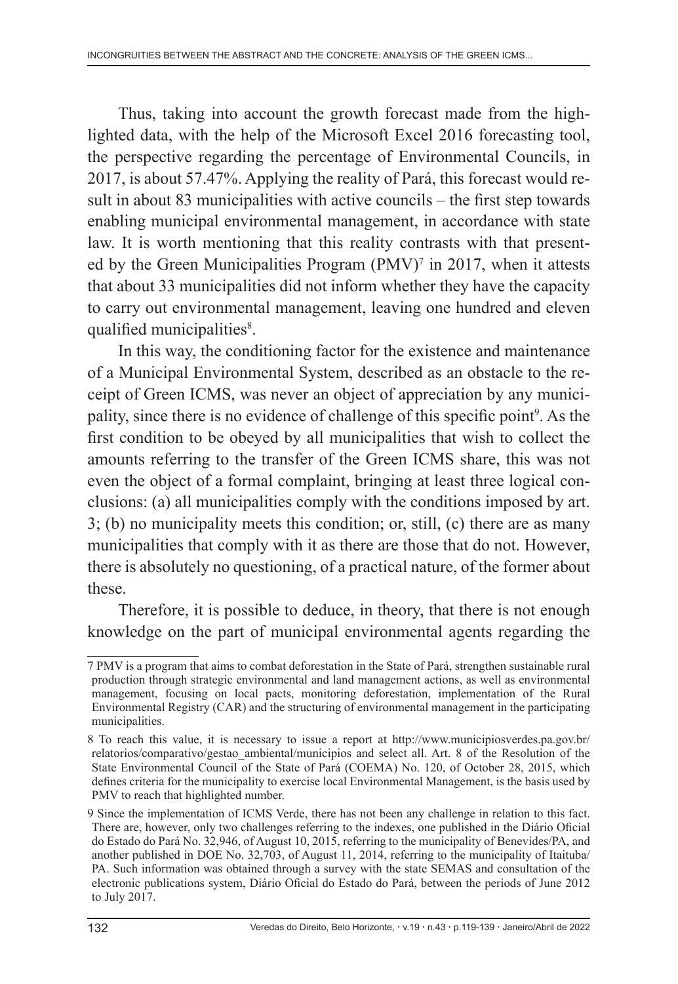Thus, taking into account the growth forecast made from the highlighted data, with the help of the Microsoft Excel 2016 forecasting tool, the perspective regarding the percentage of Environmental Councils, in 2017, is about 57.47%. Applying the reality of Pará, this forecast would result in about 83 municipalities with active councils – the first step towards enabling municipal environmental management, in accordance with state law. It is worth mentioning that this reality contrasts with that presented by the Green Municipalities Program (PMV)<sup>7</sup> in 2017, when it attests that about 33 municipalities did not inform whether they have the capacity to carry out environmental management, leaving one hundred and eleven qualified municipalities<sup>8</sup>.

In this way, the conditioning factor for the existence and maintenance of a Municipal Environmental System, described as an obstacle to the receipt of Green ICMS, was never an object of appreciation by any municipality, since there is no evidence of challenge of this specific point<sup>9</sup>. As the first condition to be obeyed by all municipalities that wish to collect the amounts referring to the transfer of the Green ICMS share, this was not even the object of a formal complaint, bringing at least three logical conclusions: (a) all municipalities comply with the conditions imposed by art. 3; (b) no municipality meets this condition; or, still, (c) there are as many municipalities that comply with it as there are those that do not. However, there is absolutely no questioning, of a practical nature, of the former about these.

Therefore, it is possible to deduce, in theory, that there is not enough knowledge on the part of municipal environmental agents regarding the

<sup>7</sup> PMV is a program that aims to combat deforestation in the State of Pará, strengthen sustainable rural production through strategic environmental and land management actions, as well as environmental management, focusing on local pacts, monitoring deforestation, implementation of the Rural Environmental Registry (CAR) and the structuring of environmental management in the participating municipalities.

<sup>8</sup> To reach this value, it is necessary to issue a report at http://www.municipiosverdes.pa.gov.br/ relatorios/comparativo/gestao\_ambiental/municipios and select all. Art. 8 of the Resolution of the State Environmental Council of the State of Pará (COEMA) No. 120, of October 28, 2015, which defines criteria for the municipality to exercise local Environmental Management, is the basis used by PMV to reach that highlighted number.

<sup>9</sup> Since the implementation of ICMS Verde, there has not been any challenge in relation to this fact. There are, however, only two challenges referring to the indexes, one published in the Diário Oficial do Estado do Pará No. 32,946, of August 10, 2015, referring to the municipality of Benevides/PA, and another published in DOE No. 32,703, of August 11, 2014, referring to the municipality of Itaituba/ PA. Such information was obtained through a survey with the state SEMAS and consultation of the electronic publications system, Diário Oficial do Estado do Pará, between the periods of June 2012 to July 2017.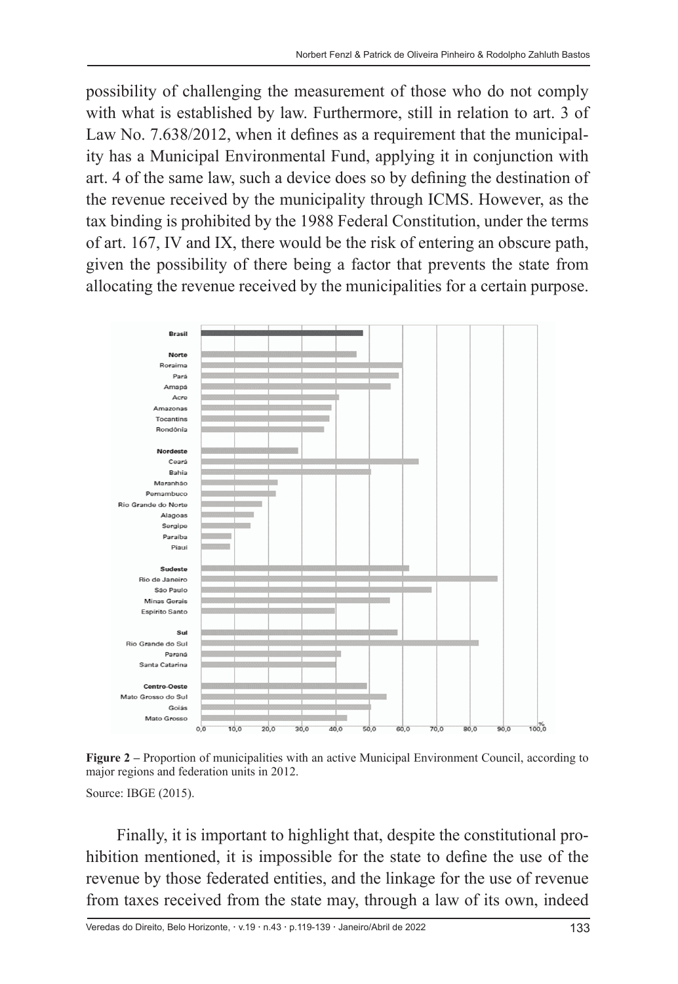possibility of challenging the measurement of those who do not comply with what is established by law. Furthermore, still in relation to art. 3 of Law No. 7.638/2012, when it defines as a requirement that the municipality has a Municipal Environmental Fund, applying it in conjunction with art. 4 of the same law, such a device does so by defining the destination of the revenue received by the municipality through ICMS. However, as the tax binding is prohibited by the 1988 Federal Constitution, under the terms of art. 167, IV and IX, there would be the risk of entering an obscure path, given the possibility of there being a factor that prevents the state from allocating the revenue received by the municipalities for a certain purpose.



**Figure 2 –** Proportion of municipalities with an active Municipal Environment Council, according to major regions and federation units in 2012.

Source: IBGE (2015).

Finally, it is important to highlight that, despite the constitutional prohibition mentioned, it is impossible for the state to define the use of the revenue by those federated entities, and the linkage for the use of revenue from taxes received from the state may, through a law of its own, indeed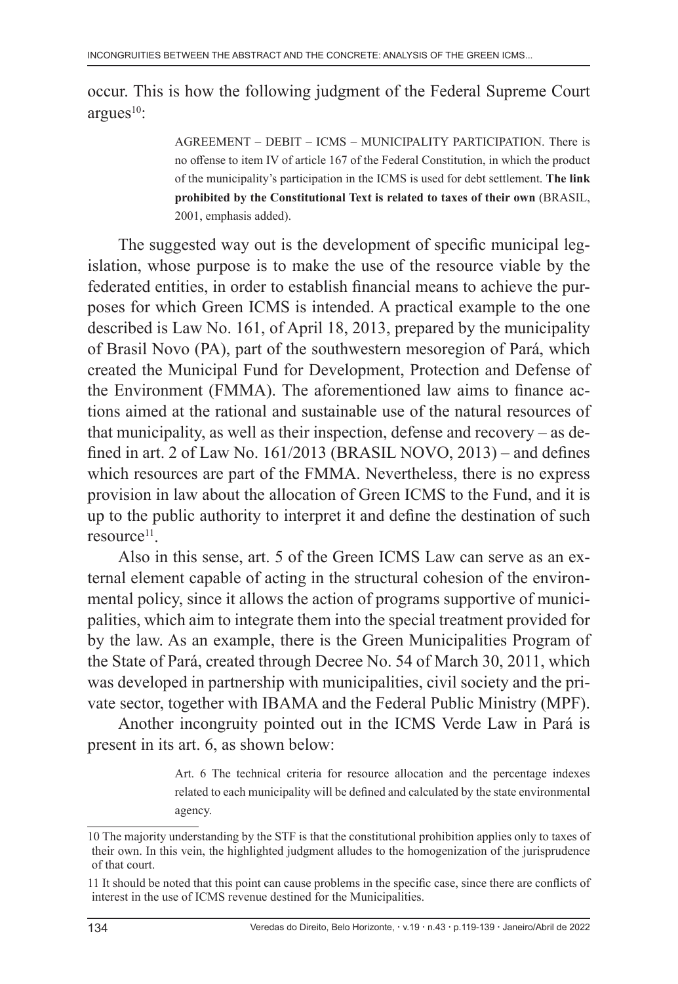occur. This is how the following judgment of the Federal Supreme Court  $argues<sup>10</sup>$ :

> AGREEMENT – DEBIT – ICMS – MUNICIPALITY PARTICIPATION. There is no offense to item IV of article 167 of the Federal Constitution, in which the product of the municipality's participation in the ICMS is used for debt settlement. **The link prohibited by the Constitutional Text is related to taxes of their own** (BRASIL, 2001, emphasis added).

The suggested way out is the development of specific municipal legislation, whose purpose is to make the use of the resource viable by the federated entities, in order to establish financial means to achieve the purposes for which Green ICMS is intended. A practical example to the one described is Law No. 161, of April 18, 2013, prepared by the municipality of Brasil Novo (PA), part of the southwestern mesoregion of Pará, which created the Municipal Fund for Development, Protection and Defense of the Environment (FMMA). The aforementioned law aims to finance actions aimed at the rational and sustainable use of the natural resources of that municipality, as well as their inspection, defense and recovery – as defined in art. 2 of Law No. 161/2013 (BRASIL NOVO, 2013) – and defines which resources are part of the FMMA. Nevertheless, there is no express provision in law about the allocation of Green ICMS to the Fund, and it is up to the public authority to interpret it and define the destination of such  $resource<sup>11</sup>$ .

Also in this sense, art. 5 of the Green ICMS Law can serve as an external element capable of acting in the structural cohesion of the environmental policy, since it allows the action of programs supportive of municipalities, which aim to integrate them into the special treatment provided for by the law. As an example, there is the Green Municipalities Program of the State of Pará, created through Decree No. 54 of March 30, 2011, which was developed in partnership with municipalities, civil society and the private sector, together with IBAMA and the Federal Public Ministry (MPF).

Another incongruity pointed out in the ICMS Verde Law in Pará is present in its art. 6, as shown below:

> Art. 6 The technical criteria for resource allocation and the percentage indexes related to each municipality will be defined and calculated by the state environmental agency.

<sup>10</sup> The majority understanding by the STF is that the constitutional prohibition applies only to taxes of their own. In this vein, the highlighted judgment alludes to the homogenization of the jurisprudence of that court.

<sup>11</sup> It should be noted that this point can cause problems in the specific case, since there are conflicts of interest in the use of ICMS revenue destined for the Municipalities.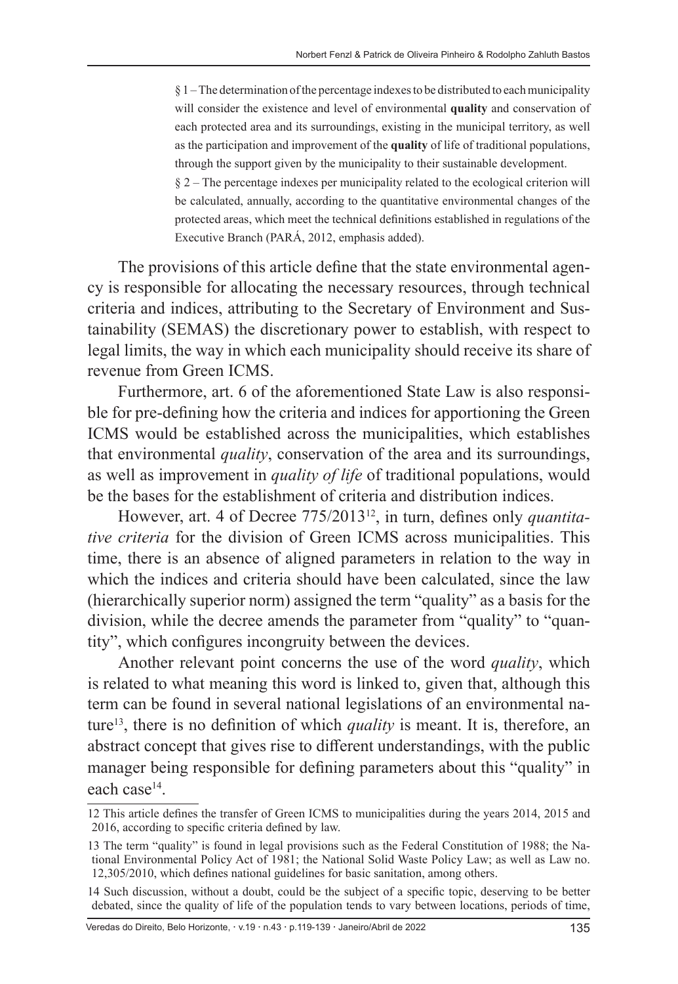$§$  1 – The determination of the percentage indexes to be distributed to each municipality will consider the existence and level of environmental **quality** and conservation of each protected area and its surroundings, existing in the municipal territory, as well as the participation and improvement of the **quality** of life of traditional populations, through the support given by the municipality to their sustainable development. § 2 – The percentage indexes per municipality related to the ecological criterion will

be calculated, annually, according to the quantitative environmental changes of the protected areas, which meet the technical definitions established in regulations of the Executive Branch (PARÁ, 2012, emphasis added).

The provisions of this article define that the state environmental agency is responsible for allocating the necessary resources, through technical criteria and indices, attributing to the Secretary of Environment and Sustainability (SEMAS) the discretionary power to establish, with respect to legal limits, the way in which each municipality should receive its share of revenue from Green ICMS.

Furthermore, art. 6 of the aforementioned State Law is also responsible for pre-defining how the criteria and indices for apportioning the Green ICMS would be established across the municipalities, which establishes that environmental *quality*, conservation of the area and its surroundings, as well as improvement in *quality of life* of traditional populations, would be the bases for the establishment of criteria and distribution indices.

However, art. 4 of Decree 775/201312, in turn, defines only *quantitative criteria* for the division of Green ICMS across municipalities. This time, there is an absence of aligned parameters in relation to the way in which the indices and criteria should have been calculated, since the law (hierarchically superior norm) assigned the term "quality" as a basis for the division, while the decree amends the parameter from "quality" to "quantity", which configures incongruity between the devices.

Another relevant point concerns the use of the word *quality*, which is related to what meaning this word is linked to, given that, although this term can be found in several national legislations of an environmental nature13, there is no definition of which *quality* is meant. It is, therefore, an abstract concept that gives rise to different understandings, with the public manager being responsible for defining parameters about this "quality" in each case14.

Veredas do Direito, Belo Horizonte, · v.19 · n.43 · p.119-139 · Janeiro/Abril de 2022 135

<sup>12</sup> This article defines the transfer of Green ICMS to municipalities during the years 2014, 2015 and 2016, according to specific criteria defined by law.

<sup>13</sup> The term "quality" is found in legal provisions such as the Federal Constitution of 1988; the National Environmental Policy Act of 1981; the National Solid Waste Policy Law; as well as Law no. 12,305/2010, which defines national guidelines for basic sanitation, among others.

<sup>14</sup> Such discussion, without a doubt, could be the subject of a specific topic, deserving to be better debated, since the quality of life of the population tends to vary between locations, periods of time,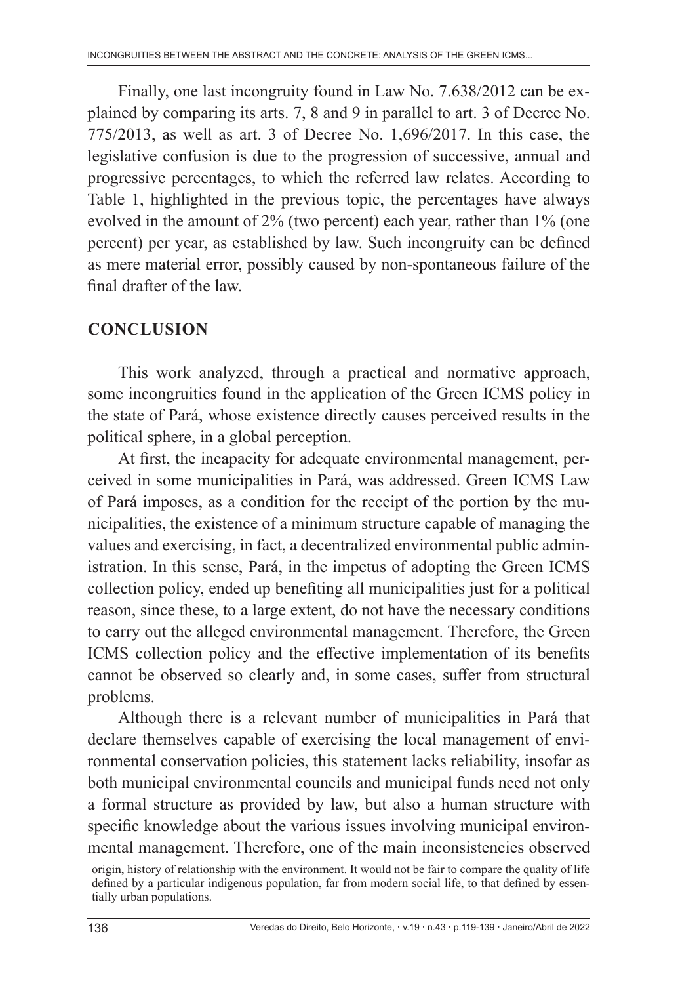Finally, one last incongruity found in Law No. 7.638/2012 can be explained by comparing its arts. 7, 8 and 9 in parallel to art. 3 of Decree No. 775/2013, as well as art. 3 of Decree No. 1,696/2017. In this case, the legislative confusion is due to the progression of successive, annual and progressive percentages, to which the referred law relates. According to Table 1, highlighted in the previous topic, the percentages have always evolved in the amount of 2% (two percent) each year, rather than 1% (one percent) per year, as established by law. Such incongruity can be defined as mere material error, possibly caused by non-spontaneous failure of the final drafter of the law.

# **CONCLUSION**

This work analyzed, through a practical and normative approach, some incongruities found in the application of the Green ICMS policy in the state of Pará, whose existence directly causes perceived results in the political sphere, in a global perception.

At first, the incapacity for adequate environmental management, perceived in some municipalities in Pará, was addressed. Green ICMS Law of Pará imposes, as a condition for the receipt of the portion by the municipalities, the existence of a minimum structure capable of managing the values and exercising, in fact, a decentralized environmental public administration. In this sense, Pará, in the impetus of adopting the Green ICMS collection policy, ended up benefiting all municipalities just for a political reason, since these, to a large extent, do not have the necessary conditions to carry out the alleged environmental management. Therefore, the Green ICMS collection policy and the effective implementation of its benefits cannot be observed so clearly and, in some cases, suffer from structural problems.

Although there is a relevant number of municipalities in Pará that declare themselves capable of exercising the local management of environmental conservation policies, this statement lacks reliability, insofar as both municipal environmental councils and municipal funds need not only a formal structure as provided by law, but also a human structure with specific knowledge about the various issues involving municipal environmental management. Therefore, one of the main inconsistencies observed

origin, history of relationship with the environment. It would not be fair to compare the quality of life defined by a particular indigenous population, far from modern social life, to that defined by essentially urban populations.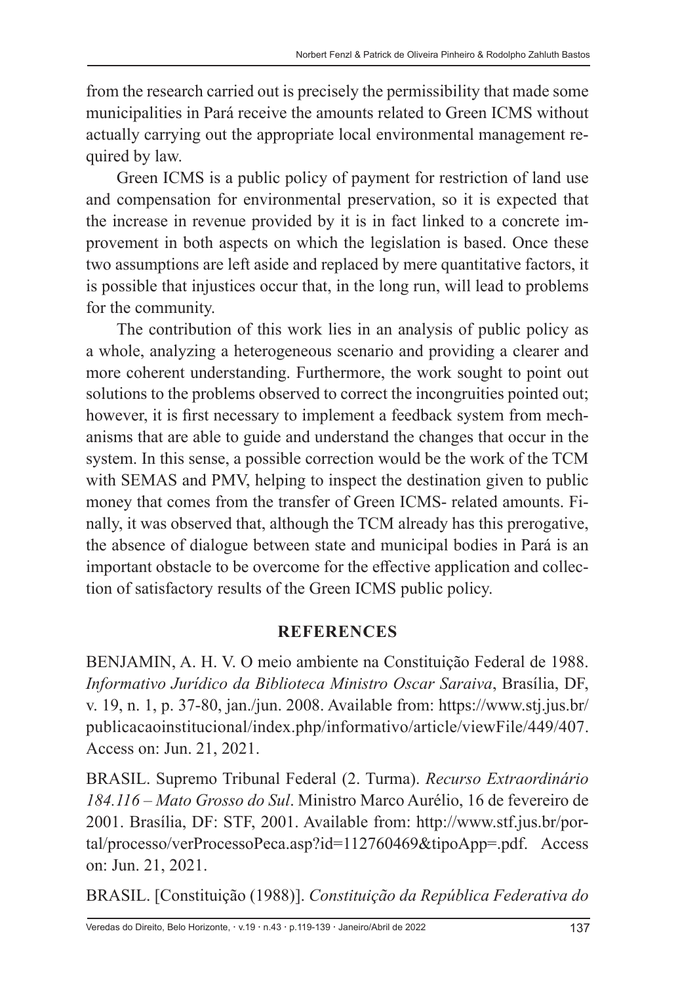from the research carried out is precisely the permissibility that made some municipalities in Pará receive the amounts related to Green ICMS without actually carrying out the appropriate local environmental management required by law.

Green ICMS is a public policy of payment for restriction of land use and compensation for environmental preservation, so it is expected that the increase in revenue provided by it is in fact linked to a concrete improvement in both aspects on which the legislation is based. Once these two assumptions are left aside and replaced by mere quantitative factors, it is possible that injustices occur that, in the long run, will lead to problems for the community.

The contribution of this work lies in an analysis of public policy as a whole, analyzing a heterogeneous scenario and providing a clearer and more coherent understanding. Furthermore, the work sought to point out solutions to the problems observed to correct the incongruities pointed out; however, it is first necessary to implement a feedback system from mechanisms that are able to guide and understand the changes that occur in the system. In this sense, a possible correction would be the work of the TCM with SEMAS and PMV, helping to inspect the destination given to public money that comes from the transfer of Green ICMS- related amounts. Finally, it was observed that, although the TCM already has this prerogative, the absence of dialogue between state and municipal bodies in Pará is an important obstacle to be overcome for the effective application and collection of satisfactory results of the Green ICMS public policy.

### **REFERENCES**

BENJAMIN, A. H. V. O meio ambiente na Constituição Federal de 1988. *Informativo Jurídico da Biblioteca Ministro Oscar Saraiva*, Brasília, DF, v. 19, n. 1, p. 37-80, jan./jun. 2008. Available from: https://www.stj.jus.br/ publicacaoinstitucional/index.php/informativo/article/viewFile/449/407. Access on: Jun. 21, 2021.

BRASIL. Supremo Tribunal Federal (2. Turma). *Recurso Extraordinário 184.116 – Mato Grosso do Sul*. Ministro Marco Aurélio, 16 de fevereiro de 2001. Brasília, DF: STF, 2001. Available from: http://www.stf.jus.br/portal/processo/verProcessoPeca.asp?id=112760469&tipoApp=.pdf. Access on: Jun. 21, 2021.

BRASIL. [Constituição (1988)]. *Constituição da República Federativa do*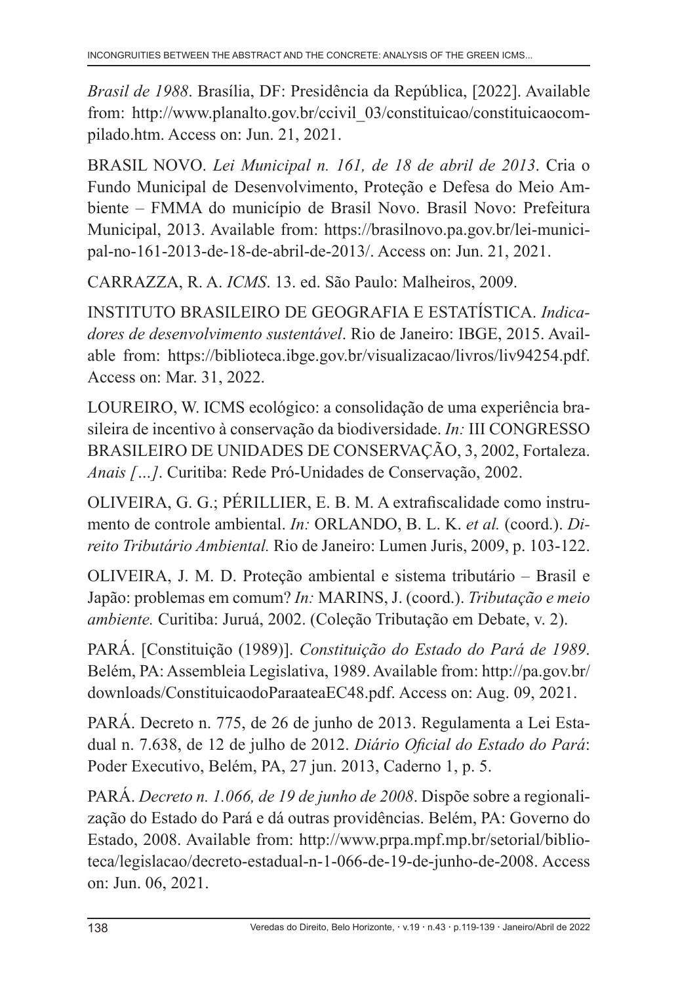*Brasil de 1988*. Brasília, DF: Presidência da República, [2022]. Available from: http://www.planalto.gov.br/ccivil\_03/constituicao/constituicaocompilado.htm. Access on: Jun. 21, 2021.

BRASIL NOVO. *Lei Municipal n. 161, de 18 de abril de 2013*. Cria o Fundo Municipal de Desenvolvimento, Proteção e Defesa do Meio Ambiente – FMMA do município de Brasil Novo. Brasil Novo: Prefeitura Municipal, 2013. Available from: https://brasilnovo.pa.gov.br/lei-municipal-no-161-2013-de-18-de-abril-de-2013/. Access on: Jun. 21, 2021.

CARRAZZA, R. A. *ICMS*. 13. ed. São Paulo: Malheiros, 2009.

INSTITUTO BRASILEIRO DE GEOGRAFIA E ESTATÍSTICA. *Indicadores de desenvolvimento sustentável*. Rio de Janeiro: IBGE, 2015. Available from: https://biblioteca.ibge.gov.br/visualizacao/livros/liv94254.pdf. Access on: Mar. 31, 2022.

LOUREIRO, W. ICMS ecológico: a consolidação de uma experiência brasileira de incentivo à conservação da biodiversidade. *In:* III CONGRESSO BRASILEIRO DE UNIDADES DE CONSERVAÇÃO, 3, 2002, Fortaleza. *Anais […]*. Curitiba: Rede Pró-Unidades de Conservação, 2002.

OLIVEIRA, G. G.; PÉRILLIER, E. B. M. A extrafiscalidade como instrumento de controle ambiental. *In:* ORLANDO, B. L. K. *et al.* (coord.). *Direito Tributário Ambiental.* Rio de Janeiro: Lumen Juris, 2009, p. 103-122.

OLIVEIRA, J. M. D. Proteção ambiental e sistema tributário – Brasil e Japão: problemas em comum? *In:* MARINS, J. (coord.). *Tributação e meio ambiente.* Curitiba: Juruá, 2002. (Coleção Tributação em Debate, v. 2).

PARÁ. [Constituição (1989)]. *Constituição do Estado do Pará de 1989*. Belém, PA: Assembleia Legislativa, 1989. Available from: http://pa.gov.br/ downloads/ConstituicaodoParaateaEC48.pdf. Access on: Aug. 09, 2021.

PARÁ. Decreto n. 775, de 26 de junho de 2013. Regulamenta a Lei Estadual n. 7.638, de 12 de julho de 2012. *Diário Oficial do Estado do Pará*: Poder Executivo, Belém, PA, 27 jun. 2013, Caderno 1, p. 5.

PARÁ. *Decreto n. 1.066, de 19 de junho de 2008*. Dispõe sobre a regionalização do Estado do Pará e dá outras providências. Belém, PA: Governo do Estado, 2008. Available from: http://www.prpa.mpf.mp.br/setorial/biblioteca/legislacao/decreto-estadual-n-1-066-de-19-de-junho-de-2008. Access on: Jun. 06, 2021.